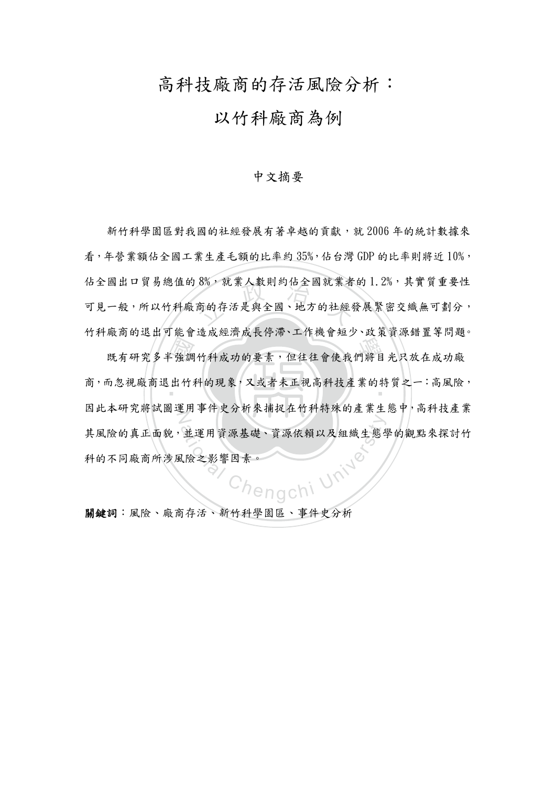## 高科技廠商的存活風險分析:

### 以竹科廠商為例

#### 中文摘要

8%, 就兼人數則約佔全國就兼者<br><br>商的存活是與全國、地方的社經 新竹科學園區對我國的社經發展有著卓越的貢獻,就 2006年的統計數據來 看,年營業額佔全國工業生產毛額的比率約 35%,佔台灣 GDP 的比率則將近 10%, 佔全國出口貿易總值的8%,就業人數則約佔全國就業者的1.2%,其實質重要性 可見一般,所以竹科廠商的存活是與全國、地方的社經發展緊密交織無可劃分, 竹科廠商的退出可能會造成經濟成長停滯、工作機會短少、政策資源錯置等問題。

 國 "<br>既有研究多半強調竹科成功的要素,但往往會使我們將目光只放在成功廠 商,而忽視廠商退出竹科的現象,又或者未正視高科技產業的特質之一:高風險, N fengchi University 因此本研究將試圖運用事件史分析來捕捉在竹科特殊的產業生態中,高科技產業 其風險的真正面貌,並運用資源基礎、資源依賴以及組織生態學的觀點來探討竹 科的不同廠商所涉風險之影響因素。

關鍵詞:風險、廠商存活、新竹科學園區、事件史分析